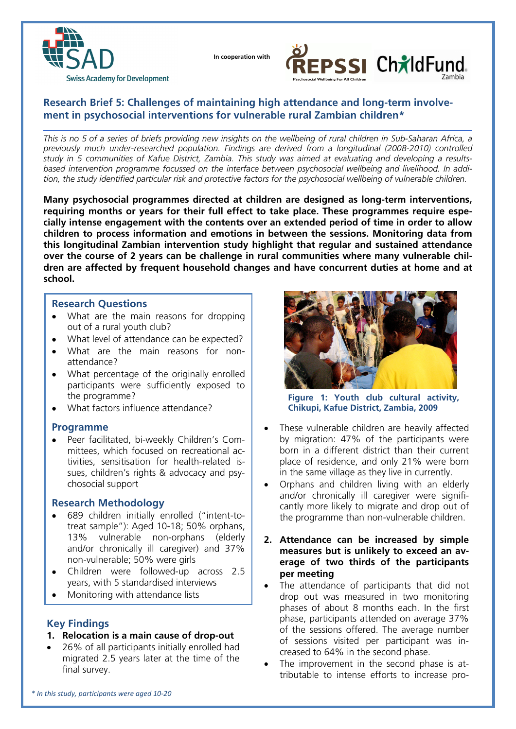

 **In cooperation with**



# **Research Brief 5: Challenges of maintaining high attendance and long-term involvement in psychosocial interventions for vulnerable rural Zambian children\***

*This is no 5 of a series of briefs providing new insights on the wellbeing of rural children in Sub-Saharan Africa, a previously much under-researched population. Findings are derived from a longitudinal (2008-2010) controlled study in 5 communities of Kafue District, Zambia. This study was aimed at evaluating and developing a resultsbased intervention programme focussed on the interface between psychosocial wellbeing and livelihood. In addition, the study identified particular risk and protective factors for the psychosocial wellbeing of vulnerable children.* 

**Many psychosocial programmes directed at children are designed as long-term interventions, requiring months or years for their full effect to take place. These programmes require especially intense engagement with the contents over an extended period of time in order to allow children to process information and emotions in between the sessions. Monitoring data from this longitudinal Zambian intervention study highlight that regular and sustained attendance over the course of 2 years can be challenge in rural communities where many vulnerable children are affected by frequent household changes and have concurrent duties at home and at school.** 

### **Research Questions**

- What are the main reasons for dropping out of a rural youth club?
- What level of attendance can be expected?
- What are the main reasons for nonattendance?
- What percentage of the originally enrolled participants were sufficiently exposed to the programme?
- What factors influence attendance?

### **Programme**

 Peer facilitated, bi-weekly Children's Committees, which focused on recreational activities, sensitisation for health-related issues, children's rights & advocacy and psychosocial support

### **Research Methodology**

- 689 children initially enrolled ("intent-totreat sample"): Aged 10-18; 50% orphans, 13% vulnerable non-orphans (elderly and/or chronically ill caregiver) and 37% non-vulnerable; 50% were girls
- Children were followed-up across 2.5 years, with 5 standardised interviews
- Monitoring with attendance lists

## **Key Findings**

### **1. Relocation is a main cause of drop-out**

 26% of all participants initially enrolled had migrated 2.5 years later at the time of the final survey.



**Figure 1: Youth club cultural activity, Chikupi, Kafue District, Zambia, 2009** 

- These vulnerable children are heavily affected by migration: 47% of the participants were born in a different district than their current place of residence, and only 21% were born in the same village as they live in currently.
- Orphans and children living with an elderly and/or chronically ill caregiver were significantly more likely to migrate and drop out of the programme than non-vulnerable children.
- **2. Attendance can be increased by simple measures but is unlikely to exceed an average of two thirds of the participants per meeting**
- The attendance of participants that did not drop out was measured in two monitoring phases of about 8 months each. In the first phase, participants attended on average 37% of the sessions offered. The average number of sessions visited per participant was increased to 64% in the second phase.
- The improvement in the second phase is attributable to intense efforts to increase pro-